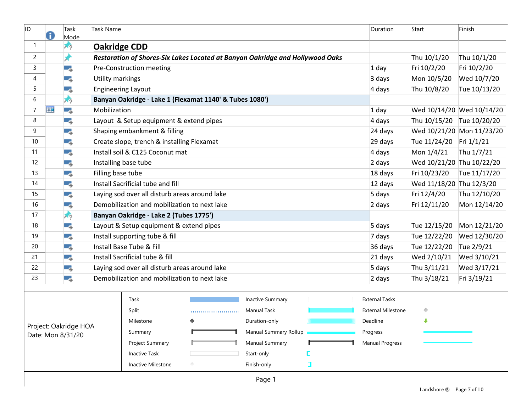| ID                | Я                     | Task<br>Mode | Task Name               |                                                                               |   | Duration                | Start        | Finish                    |                           |                           |  |
|-------------------|-----------------------|--------------|-------------------------|-------------------------------------------------------------------------------|---|-------------------------|--------------|---------------------------|---------------------------|---------------------------|--|
| -1                |                       | スッ           | <b>Oakridge CDD</b>     |                                                                               |   |                         |              |                           |                           |                           |  |
| 2                 |                       | x            |                         | Restoration of Shores-Six Lakes Located at Banyan Oakridge and Hollywood Oaks |   |                         | Thu 10/1/20  | Thu 10/1/20               |                           |                           |  |
| 3                 |                       | Цg           |                         | Pre-Construction meeting                                                      |   | $1$ day                 | Fri 10/2/20  | Fri 10/2/20               |                           |                           |  |
| 4                 |                       | Цg           | <b>Utility markings</b> |                                                                               |   |                         |              | 3 days                    | Mon 10/5/20               | Wed 10/7/20               |  |
| 5                 |                       | - 5          |                         | <b>Engineering Layout</b>                                                     |   |                         |              | 4 days                    | Thu 10/8/20               | Tue 10/13/20              |  |
| 6                 |                       | 夃            |                         | Banyan Oakridge - Lake 1 (Flexamat 1140' & Tubes 1080')                       |   |                         |              |                           |                           |                           |  |
| 7                 | <b>HIE</b>            | - 5          | Mobilization            |                                                                               |   |                         |              | $1$ day                   |                           | Wed 10/14/20 Wed 10/14/20 |  |
| 8                 |                       | - 5          |                         | Layout & Setup equipment & extend pipes                                       |   |                         |              | 4 days                    | Thu 10/15/20 Tue 10/20/20 |                           |  |
| 9                 |                       | Г.,          |                         | Shaping embankment & filling                                                  |   |                         |              | 24 days                   |                           | Wed 10/21/20 Mon 11/23/20 |  |
| 10                |                       | - 5          |                         | Create slope, trench & installing Flexamat                                    |   |                         |              | 29 days                   | Tue 11/24/20              | Fri $1/1/21$              |  |
| 11                |                       | Цg           |                         | Install soil & C125 Coconut mat                                               |   |                         |              | 4 days                    | Mon 1/4/21                | Thu 1/7/21                |  |
| 12                |                       | Цg           |                         | Installing base tube                                                          |   |                         |              | 2 days                    | Wed 10/21/20 Thu 10/22/20 |                           |  |
| 13                |                       | - 5          | Filling base tube       |                                                                               |   |                         |              | 18 days                   | Fri 10/23/20              | Tue 11/17/20              |  |
| 14                |                       | С.,          |                         | Install Sacrificial tube and fill                                             |   |                         |              | 12 days                   | Wed 11/18/20 Thu 12/3/20  |                           |  |
| 15                |                       | - 5          |                         | Laying sod over all disturb areas around lake                                 |   | 5 days                  | Fri 12/4/20  | Thu 12/10/20              |                           |                           |  |
| 16                |                       | Цg           |                         | Demobilization and mobilization to next lake                                  |   | 2 days                  | Fri 12/11/20 | Mon 12/14/20              |                           |                           |  |
| 17                |                       | 夃            |                         | Banyan Oakridge - Lake 2 (Tubes 1775')                                        |   |                         |              |                           |                           |                           |  |
| 18                |                       | - 5          |                         | Layout & Setup equipment & extend pipes                                       |   | 5 days                  | Tue 12/15/20 | Mon 12/21/20              |                           |                           |  |
| 19                |                       | Цg           |                         | Install supporting tube & fill                                                |   | 7 days                  | Tue 12/22/20 | Wed 12/30/20              |                           |                           |  |
| 20                |                       | - 5          |                         | Install Base Tube & Fill                                                      |   | 36 days                 | Tue 12/22/20 | Tue 2/9/21                |                           |                           |  |
| 21                |                       | Цg           |                         | Install Sacrificial tube & fill                                               |   | 21 days                 | Wed 2/10/21  | Wed 3/10/21               |                           |                           |  |
| 22                |                       | - 5          |                         | Laying sod over all disturb areas around lake                                 |   | 5 days                  | Thu 3/11/21  | Wed 3/17/21               |                           |                           |  |
| 23                |                       | С.,          |                         | Demobilization and mobilization to next lake                                  |   | 2 days                  | Thu 3/18/21  | Fri 3/19/21               |                           |                           |  |
|                   |                       |              |                         | Task                                                                          |   | <b>Inactive Summary</b> |              | <b>External Tasks</b>     |                           |                           |  |
|                   |                       |              |                         | Split                                                                         |   | Manual Task             |              | <b>External Milestone</b> | ◇                         |                           |  |
|                   | Project: Oakridge HOA |              |                         | Milestone                                                                     | ◆ | Duration-only           |              | Deadline                  | ∙                         |                           |  |
|                   |                       |              |                         | Summary                                                                       |   | Manual Summary Rollup   |              | Progress                  |                           |                           |  |
| Date: Mon 8/31/20 |                       |              |                         | Project Summary                                                               |   | Manual Summary          |              | <b>Manual Progress</b>    |                           |                           |  |
|                   |                       |              |                         | <b>Inactive Task</b>                                                          |   | Start-only              |              |                           |                           |                           |  |
|                   |                       |              |                         | Inactive Milestone                                                            |   | Finish-only             | $\Box$       |                           |                           |                           |  |
|                   |                       |              |                         |                                                                               |   |                         |              |                           |                           |                           |  |
| Page 1            |                       |              |                         |                                                                               |   |                         |              |                           |                           |                           |  |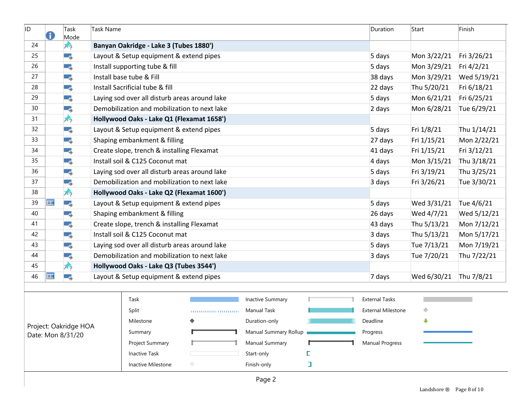| ID                                         | G          | Task<br>Mode | Task Name                              |                                               |   | Duration                | Start       | Finish                    |             |             |  |
|--------------------------------------------|------------|--------------|----------------------------------------|-----------------------------------------------|---|-------------------------|-------------|---------------------------|-------------|-------------|--|
| 24                                         |            | スウ           |                                        | Banyan Oakridge - Lake 3 (Tubes 1880')        |   |                         |             |                           |             |             |  |
| 25                                         |            | - 5          |                                        | Layout & Setup equipment & extend pipes       |   | 5 days                  | Mon 3/22/21 | Fri 3/26/21               |             |             |  |
| 26                                         |            | Ξ.,          |                                        | Install supporting tube & fill                |   | 5 days                  | Mon 3/29/21 | Fri 4/2/21                |             |             |  |
| 27                                         |            | - 5          |                                        | Install base tube & Fill                      |   | 38 days                 | Mon 3/29/21 | Wed 5/19/21               |             |             |  |
| 28                                         |            | - 5          |                                        | Install Sacrificial tube & fill               |   |                         |             | 22 days                   | Thu 5/20/21 | Fri 6/18/21 |  |
| 29                                         |            | - 5          |                                        | Laying sod over all disturb areas around lake |   |                         |             | 5 days                    | Mon 6/21/21 | Fri 6/25/21 |  |
| 30                                         |            | - 5          |                                        | Demobilization and mobilization to next lake  |   |                         |             | 2 days                    | Mon 6/28/21 | Tue 6/29/21 |  |
| 31                                         |            | プ            |                                        | Hollywood Oaks - Lake Q1 (Flexamat 1658')     |   |                         |             |                           |             |             |  |
| 32                                         |            | - 5          |                                        | Layout & Setup equipment & extend pipes       |   |                         |             | 5 days                    | Fri 1/8/21  | Thu 1/14/21 |  |
| 33                                         |            | - 5          |                                        | Shaping embankment & filling                  |   |                         |             | 27 days                   | Fri 1/15/21 | Mon 2/22/21 |  |
| 34                                         |            | - 5          |                                        | Create slope, trench & installing Flexamat    |   |                         |             | 41 days                   | Fri 1/15/21 | Fri 3/12/21 |  |
| 35                                         |            | - 5          |                                        | Install soil & C125 Coconut mat               |   |                         |             | 4 days                    | Mon 3/15/21 | Thu 3/18/21 |  |
| 36                                         |            | - 5          |                                        | Laying sod over all disturb areas around lake |   |                         |             | 5 days                    | Fri 3/19/21 | Thu 3/25/21 |  |
| 37                                         |            | - 5          |                                        | Demobilization and mobilization to next lake  |   |                         |             | 3 days                    | Fri 3/26/21 | Tue 3/30/21 |  |
| 38                                         |            | メッ           |                                        | Hollywood Oaks - Lake Q2 (Flexamat 1600')     |   |                         |             |                           |             |             |  |
| 39                                         | <b>HIE</b> | Ξ.,          |                                        | Layout & Setup equipment & extend pipes       |   | 5 days                  | Wed 3/31/21 | Tue 4/6/21                |             |             |  |
| 40                                         |            | - 5          |                                        | Shaping embankment & filling                  |   | 26 days                 | Wed 4/7/21  | Wed 5/12/21               |             |             |  |
| 41                                         |            | - 5          |                                        | Create slope, trench & installing Flexamat    |   | 43 days                 | Thu 5/13/21 | Mon 7/12/21               |             |             |  |
| 42                                         |            | - 5          |                                        | Install soil & C125 Coconut mat               |   | 3 days                  | Thu 5/13/21 | Mon 5/17/21               |             |             |  |
| 43                                         |            | - 5          |                                        | Laying sod over all disturb areas around lake |   | 5 days                  | Tue 7/13/21 | Mon 7/19/21               |             |             |  |
| 44                                         |            | Ξ.,          |                                        | Demobilization and mobilization to next lake  |   | 3 days                  | Tue 7/20/21 | Thu 7/22/21               |             |             |  |
| 45                                         |            | スウ           | Hollywood Oaks - Lake Q3 (Tubes 3544') |                                               |   |                         |             |                           |             |             |  |
| 46                                         | <b>HIE</b> | -4           |                                        | Layout & Setup equipment & extend pipes       |   | 7 days                  | Wed 6/30/21 | Thu 7/8/21                |             |             |  |
|                                            |            |              |                                        |                                               |   |                         |             |                           |             |             |  |
|                                            |            |              |                                        | Task                                          |   | <b>Inactive Summary</b> |             | <b>External Tasks</b>     |             |             |  |
|                                            |            |              |                                        | Split                                         |   | <b>Manual Task</b>      |             | <b>External Milestone</b> | ◇           |             |  |
|                                            |            |              |                                        | Milestone                                     | ♦ | Duration-only           |             | Deadline                  | ⊕           |             |  |
| Project: Oakridge HOA<br>Date: Mon 8/31/20 |            |              |                                        | Summary                                       |   | Manual Summary Rollup   |             | Progress                  |             |             |  |
|                                            |            |              |                                        | Project Summary                               |   | Manual Summary          |             | Manual Progress           |             |             |  |
|                                            |            |              |                                        | <b>Inactive Task</b>                          |   | Start-only              |             |                           |             |             |  |
|                                            |            |              |                                        | Inactive Milestone                            | ◇ | Finish-only             | $\Box$      |                           |             |             |  |
|                                            | Page 2     |              |                                        |                                               |   |                         |             |                           |             |             |  |